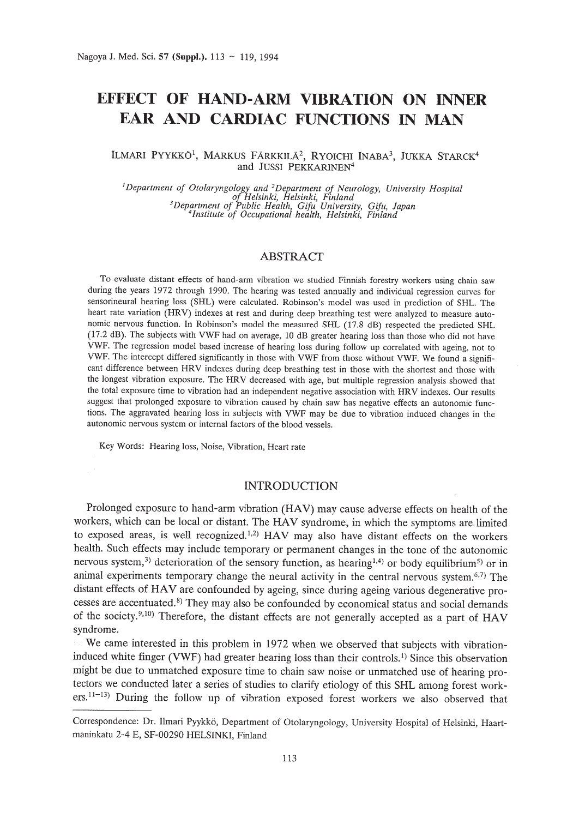# **EFFECT OF HAND-ARM VIBRATION ON INNER EAR AND CARDIAC FUNCTIONS IN MAN**

## ILMARI PYYKKÖ<sup>1</sup>, MARKUS FÄRKKILÄ<sup>2</sup>, RYOICHI INABA<sup>3</sup>, JUKKA STARCK<sup>4</sup> and JUSSI PEKKARINEN<sup>4</sup>

<sup>J</sup>*Department of Otolaryngology and* <sup>2</sup>*Department of Neurology, University Hospital* of Helsinki, Helsinki, Finland<br><sup>3</sup>Department of Public Health, Gifu University, Gifu, Japar<br><sup>4</sup>Institute of Occupational health, Helsinki, Finland

# ABSTRACT

To evaluate distant effects of hand-arm vibration we studied Finnish forestry workers using chain saw during the years 1972 through 1990. The hearing was tested annually and individual regression curves for sensorineural hearing loss (SHL) were calculated. Robinson's model was used in prediction of SHL. The heart rate variation (HRV) indexes at rest and during deep breathing test were analyzed to measure autonomic nervous function. In Robinson's model the measured SHL (17.8 dB) respected the predicted SHL (17.2 dB). The subjects with VWF had on average, 10 dB greater hearing loss than those who did not have VWF. The regression model based increase of hearing loss during follow up correlated with ageing, not to VWF. The intercept differed significantly in those with VWF from those without VWF. We found a significant difference between HRV indexes during deep breathing test in those with the shortest and those with the longest vibration exposure. The HRV decreased with age, but multiple regression analysis showed that the total exposure time to vibration had an independent negative association with HRV indexes. Our results suggest that prolonged exposure to vibration caused by chain saw has negative effects an autonomic functions. The aggravated hearing loss in subjects with VWF may be due to vibration induced changes in the autonomic nervous system or internal factors of the blood vessels.

Key Words: Hearing loss, Noise, Vibration, Heart rate

# INTRODUCTION

Prolonged exposure to hand-arm vibration (HAV) may cause adverse effects on health of the workers, which can be local or distant. The HAV syndrome, in which the symptoms are· limited to exposed areas, is well recognized.<sup>1,2)</sup> HAV may also have distant effects on the workers health. Such effects may include temporary or permanent changes in the tone of the autonomic nervous system,<sup>3)</sup> deterioration of the sensory function, as hearing<sup>1,4</sup> or body equilibrium<sup>5)</sup> or in animal experiments temporary change the neural activity in the central nervous system.<sup>6,7)</sup> The distant effects of HAV are confounded by ageing, since during ageing various degenerative processes are accentuated.<sup>8)</sup> They may also be confounded by economical status and social demands of the society.<sup>9,10)</sup> Therefore, the distant effects are not generally accepted as a part of HAV syndrome.

We came interested in this problem in 1972 when we observed that subjects with vibrationinduced white finger (VWF) had greater hearing loss than their controls. I) Since this observation might be due to unmatched exposure time to chain saw noise or unmatched use of hearing protectors we conducted later a series of studies to clarify etiology of this SHL among forest workers.<sup>11-13)</sup> During the follow up of vibration exposed forest workers we also observed that

Correspondence: Dr. llmari Pyykko, Department of Otolaryngology, University Hospital of Helsinki, Haartrnaninkatu 2-4 E, SF-00290 HELSINKI, Finland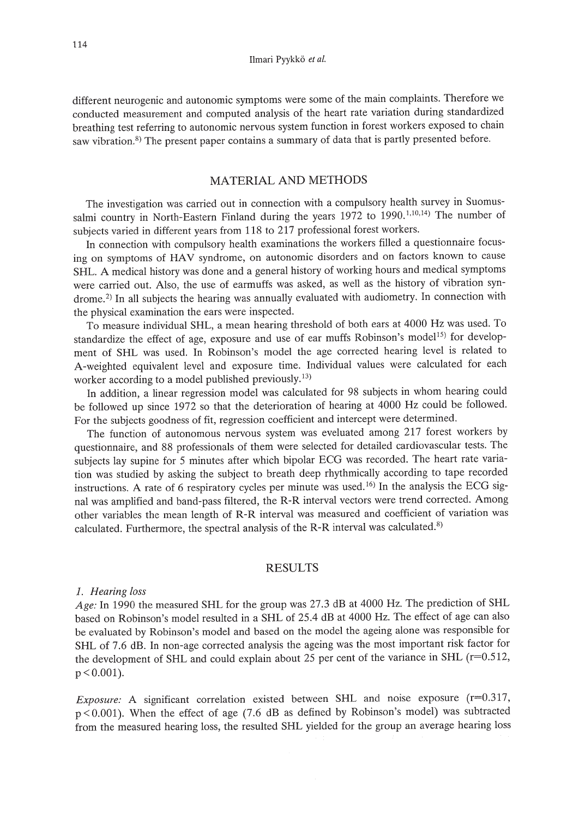different neurogenic and autonomic symptoms were some of the main complaints. Therefore we conducted measurement and computed analysis of the heart rate variation during standardized breathing test referring to autonomic nervous system function in forest workers exposed to chain saw vibration.<sup>8)</sup> The present paper contains a summary of data that is partly presented before.

# MATERIAL AND METHODS

The investigation was carried out in connection with a compulsory health survey in Suomussalmi country in North-Eastern Finland during the years 1972 to 1990.<sup>1,10,14</sup>) The number of subjects varied in different years from 118 to 217 professional forest workers.

In connection with compulsory health examinations the workers filled a questionnaire focusing on symptoms of HAV syndrome, on autonomic disorders and on factors known to cause SHL. A medical history was done and a general history of working hours and medical symptoms were carried out. Also, the use of earmuffs was asked, as well as the history of vibration syndrome.<sup>2)</sup> In all subjects the hearing was annually evaluated with audiometry. In connection with the physical examination the ears were inspected.

To measure individual SHL, a mean hearing threshold of both ears at 4000 Hz was used. To standardize the effect of age, exposure and use of ear muffs Robinson's model<sup>15)</sup> for development of SHL was used. In Robinson's model the age corrected hearing level is related to A-weighted equivalent level and exposure time. Individual values were calculated for each worker according to a model published previously.<sup>13)</sup>

In addition, a linear regression model was calculated for 98 subjects in whom hearing could be followed up since 1972 so that the deterioration of hearing at 4000 Hz could be followed. For the subjects goodness of fit, regression coefficient and intercept were determined.

The function of autonomous nervous system was eveluated among 217 forest workers by questionnaire, and 88 professionals of them were selected for detailed cardiovascular tests. The subjects lay supine for 5 minutes after which bipolar ECG was recorded. The heart rate variation was studied by asking the subject to breath deep rhythmically according to tape recorded instructions. A rate of 6 respiratory cycles per minute was used. 16) In the analysis the ECG signal was amplified and band-pass filtered, the R-R interval vectors were trend corrected. Among other variables the mean length of R-R interval was measured and coefficient of variation was calculated. Furthermore, the spectral analysis of the R-R interval was calculated.<sup>8)</sup>

## RESULTS

#### *1. Hearing loss*

*Age:* In 1990 the measured SHL for the group was 27.3 dB at 4000 Hz. The prediction of SHL based on Robinson's model resulted in a SHL of 25.4 dB at 4000 Hz. The effect of age can also be evaluated by Robinson's model and based on the model the ageing alone was responsible for SHL of 7.6 dB. In non-age corrected analysis the ageing was the most important risk factor for the development of SHL and could explain about 25 per cent of the variance in SHL ( $r=0.512$ ,  $p < 0.001$ ).

*Exposure:* A significant correlation existed between SHL and noise exposure (r=0.317, p < 0.001). When the effect of age (7.6 dB as defined by Robinson's model) was subtracted from the measured hearing loss, the resulted SHL yielded for the group an average hearing loss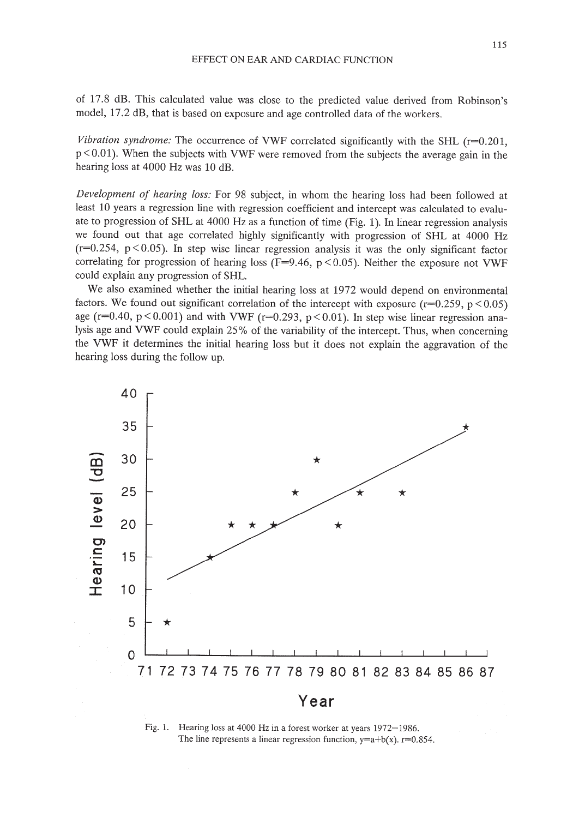of 17.8 dB. This calculated value was close to the predicted value derived from Robinson's model, 17.2 dB, that is based on exposure and age controlled data of the workers.

*Vibration syndrome:* The occurrence of VWF correlated significantly with the SHL  $(r=0.201,$ p < 0.01). When the subjects with VWF were removed from the subjects the average gain in the hearing loss at 4000 Hz was 10 dB.

*Development of hearing loss:* For 98 subject, in whom the hearing loss had been followed at least 10 years a regression line with regression coefficient and intercept was calculated to evaluate to progression of SHL at 4000 Hz as a function of time (Fig. 1). In linear regression analysis we found out that age correlated highly significantly with progression of SHL at 4000 Hz  $(r=0.254, p<0.05)$ . In step wise linear regression analysis it was the only significant factor correlating for progression of hearing loss (F=9.46,  $p < 0.05$ ). Neither the exposure not VWF could explain any progression of SHL.

We also examined whether the initial hearing loss at 1972 would depend on environmental factors. We found out significant correlation of the intercept with exposure  $(r=0.259, p<0.05)$ age ( $r=0.40$ ,  $p<0.001$ ) and with VWF ( $r=0.293$ ,  $p<0.01$ ). In step wise linear regression analysis age and VWF could explain 25% of the variability of the intercept. Thus, when concerning the VWF it determines the initial hearing loss but it does not explain the aggravation of the hearing loss during the follow up.



Fig. 1. Hearing loss at 4000 Hz in a forest worker at years 1972-1986. The line represents a linear regression function,  $y=a+b(x)$ .  $r=0.854$ .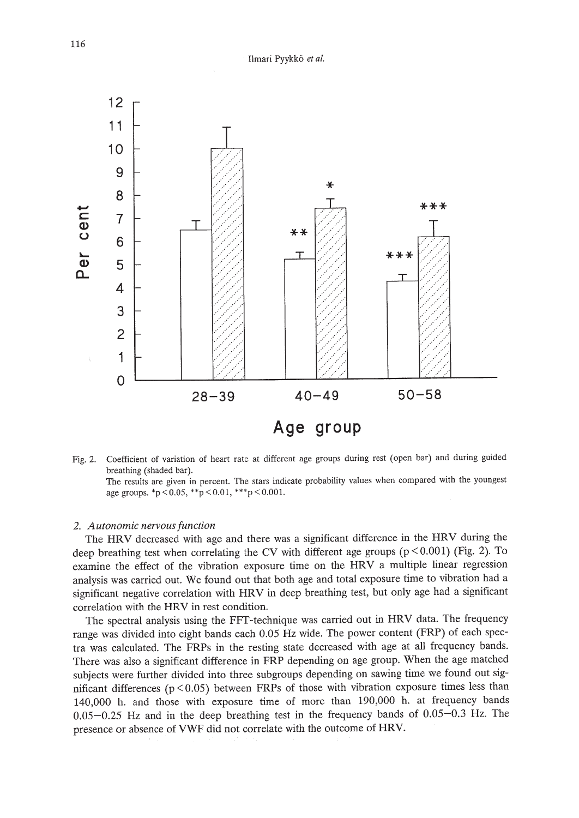

Fig. 2. Coefficient of variation of heart rate at different age groups during rest (open bar) and during guided breathing (shaded bar).

The results are given in percent. The stars indicate probability values when compared with the youngest age groups.  $\mathbf{p} < 0.05$ ,  $\mathbf{p} < 0.01$ ,  $\mathbf{p} < 0.001$ .

#### *2. Autonomic nervousfunction*

The HRV decreased with age and there was a significant difference in the HRV during the deep breathing test when correlating the CV with different age groups  $(p < 0.001)$  (Fig. 2). To examine the effect of the vibration exposure time on the HRV a multiple linear regression analysis was carried out. We found out that both age and total exposure time to vibration had a significant negative correlation with HRV in deep breathing test, but only age had a significant correlation with the HRV in rest condition.

The spectral analysis using the FFT-technique was carried out in HRV data. The frequency range was divided into eight bands each 0.05 Hz wide. The power content (FRP) of each spectra was calculated. The FRPs in the resting state decreased with age at all frequency bands. There was also a significant difference in FRP depending on age group. When the age matched subjects were further divided into three subgroups depending on sawing time we found out significant differences ( $p < 0.05$ ) between FRPs of those with vibration exposure times less than 140,000 h. and those with exposure time of more than 190,000 h. at frequency bands 0.05-0.25 Hz and in the deep breathing test in the frequency bands of 0.05-0.3 Hz. The presence or absence of VWF did not correlate with the outcome of HRV.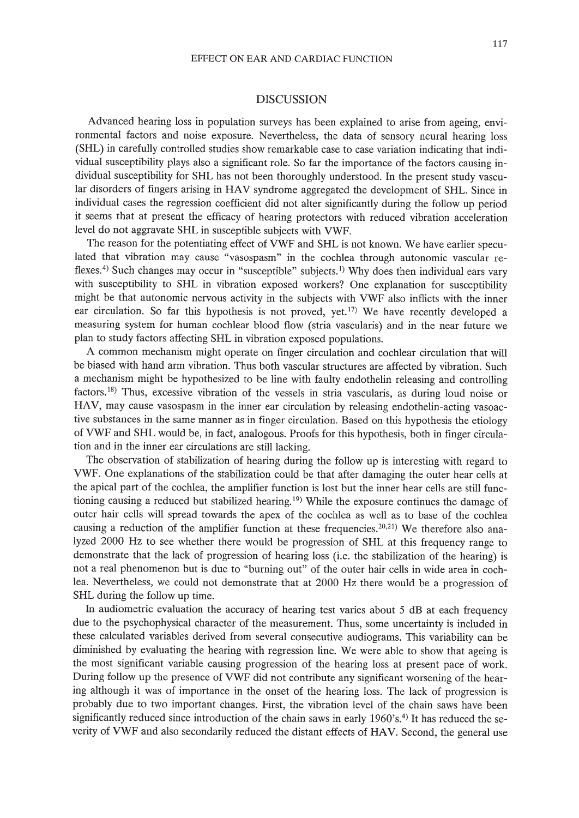## EFFECT ON EAR AND CARDIAC FUNCTION

## DISCUSSION

Advanced hearing loss in population surveys has been explained to arise from ageing, environmental factors and noise exposure. Nevertheless, the data of sensory neural hearing loss (SHL) in carefully controlled studies show remarkable case to case variation indicating that individual susceptibility plays also a significant role. So far the importance of the factors causing individual susceptibility for SHL has not been thoroughly understood. In the present study vascular disorders of fingers arising in HAV syndrome aggregated the development of SHL. Since in individual cases the regression coefficient did not alter significantly during the follow up period it seems that at present the efficacy of hearing protectors with reduced vibration acceleration level do not aggravate SHL in susceptible subjects with VWF.

The reason for the potentiating effect of VWF and SHL is not known. We have earlier speculated that vibration may cause "vasospasm" in the cochlea through autonomic vascular reflexes.<sup>4)</sup> Such changes may occur in "susceptible" subjects.<sup>1)</sup> Why does then individual ears vary with susceptibility to SHL in vibration exposed workers? One explanation for susceptibility might be that autonomic nervous activity in the subjects with VWF also inflicts with the inner ear circulation. So far this hypothesis is not proved, yet.<sup>17)</sup> We have recently developed a measuring system for human cochlear blood flow (stria vascularis) and in the near future we plan to study factors affecting SHL in vibration exposed populations.

A common mechanism might operate on finger circulation and cochlear circulation that will be biased with hand arm vibration. Thus both vascular structures are affected by vibration. Such a mechanism might be hypothesized to be line with faulty endothelin releasing and controlling factors. 18) Thus, excessive vibration of the vessels in stria vascularis, as during loud noise or HAV, may cause vasospasm in the inner ear circulation by releasing endothelin-acting vasoactive substances in the same manner as in finger circulation. Based on this hypothesis the etiology of VWF and SHL would be, in fact, analogous. Proofs for this hypothesis, both in finger circulation and in the inner ear circulations are still lacking.

The observation of stabilization of hearing during the follow up is interesting with regard to VWF. One explanations of the stabilization could be that after damaging the outer hear cells at the apical part of the cochlea, the amplifier function is lost but the inner hear cells are still functioning causing a reduced but stabilized hearing. 19) While the exposure continues the damage of outer hair cells will spread towards the apex of the cochlea as well as to base of the cochlea causing a reduction of the amplifier function at these frequencies.<sup>20,21)</sup> We therefore also analyzed 2000 Hz to see whether there would be progression of SHL at this frequency range to demonstrate that the lack of progression of hearing loss (i.e. the stabilization of the hearing) is not a real phenomenon but is due to "burning out" of the outer hair cells in wide area in cochlea. Nevertheless, we could not demonstrate that at 2000 Hz there would be a progression of SHL during the follow up time.

In audiometric evaluation the accuracy of hearing test varies about 5 dB at each frequency due to the psychophysical character of the measurement. Thus, some uncertainty is included in these calculated variables derived from several consecutive audiograms. This variability can be diminished by evaluating the hearing with regression line. We were able to show that ageing is the most significant variable causing progression of the hearing loss at present pace of work. During follow up the presence of VWF did not contribute any significant worsening of the hearing although it was of importance in the onset of the hearing loss. The lack of progression is probably due to two important changes. First, the vibration level of the chain saws have been significantly reduced since introduction of the chain saws in early  $1960's$ .<sup>4)</sup> It has reduced the severity of VWF and also secondarily reduced the distant effects of HAV. Second, the general use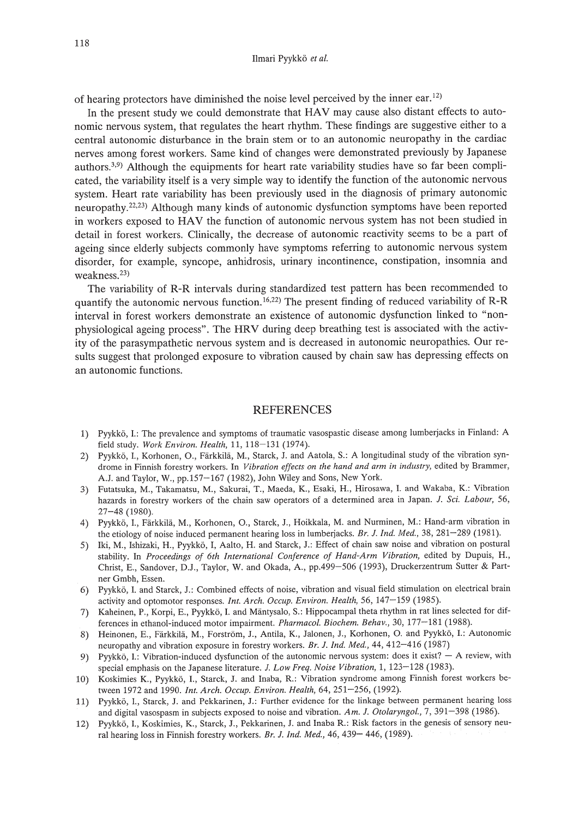of hearing protectors have diminished the noise level perceived by the inner ear. 12)

In the present study we could demonstrate that HAV may cause also distant effects to autonomic nervous system, that regulates the heart rhythm. These findings are suggestive either to a central autonomic disturbance in the brain stem or to an autonomic neuropathy in the cardiac nerves among forest workers. Same kind of changes were demonstrated previously by Japanese authors.<sup>3,9)</sup> Although the equipments for heart rate variability studies have so far been complicated, the variability itself is a very simple way to identify the function of the autonomic nervous system. Heart rate variability has been previously used in the diagnosis of primary autonomic neuropathy.22.23) Although many kinds of autonomic dysfunction symptoms have been reported in workers exposed to HAV the function of autonomic nervous system has not been studied in detail in forest workers. Clinically, the decrease of autonomic reactivity seems to be a part of ageing since elderly subjects commonly have symptoms referring to autonomic nervous system disorder, for example, syncope, anhidrosis, urinary incontinence, constipation, insomnia and weakness.23)

The variability of R-R intervals during standardized test pattern has been recommended to quantify the autonomic nervous function.  $16.22$ ) The present finding of reduced variability of R-R interval in forest workers demonstrate an existence of autonomic dysfunction linked to "nonphysiological ageing process". The HRV during deep breathing test is associated with the activity of the parasympathetic nervous system and is decreased in autonomic neuropathies. Our results suggest that prolonged exposure to vibration caused by chain saw has depressing effects on an autonomic functions.

## **REFERENCES**

- 1) Pyykk6, 1.: The prevalence and symptoms of traumatic vasospastic disease among lumberjacks in Finland: A field study. *Work Environ. Health,* 11, 118-131 (1974).
- 2) Pyykkö, I., Korhonen, O., Färkkilä, M., Starck, J. and Aatola, S.: A longitudinal study of the vibration syndrome in Finnish forestry workers. In *Vibration effects on the hand and arm in industry,* edited by Brammer, A.J. and Taylor, W., pp.157-167 (1982), John Wiley and Sons, New York.
- 3) Futatsuka, M., Takamatsu, M., Sakurai, T., Maeda, K., Esaki, H., Hirosawa, 1. and Wakaba, K.: Vibration hazards in forestry workers of the chain saw operators of a determined area in Japan. J. *Sci. Labour, 56,* 27-48 (1980).
- 4) Pyykkö, I., Färkkilä, M., Korhonen, O., Starck, J., Hoikkala, M. and Nurminen, M.: Hand-arm vibration in the etiology of noise induced permanent hearing loss in lumberjacks. *Br.* 1. *Ind. Med.,* 38, 281-289 (1981).
- 5) Iki, M., lshizaki, H., Pyykk6, I, Aalto, H. and Starck, J.: Effect of chain saw noise and vibration on postural stability. In *Proceedings of 6th International Conference of Hand-Arm Vibration,* edited by Dupuis, H., Christ, E., Sandover, D.J., Taylor, W. and Okada, A., pp.499-506 (1993), Druckerzentrum Sutter & Partner Gmbh, Essen.
- 6) Pyykk6, 1. and Starck, J.: Combined effects of noise, vibration and visual field stimulation on electrical brain activity and optomotor responses. *Int. Arch. Occup. Environ. Health,* 56,147-159 (1985).
- 7) Kaheinen, P., Korpi, E., Pyykkö, I. and Mäntysalo, S.: Hippocampal theta rhythm in rat lines selected for differences in ethanol-induced motor impairment. *Pharmacol. Biochem. Behav.,* 30, 177-181 (1988).
- 8) Heinonen, E., Färkkilä, M., Forström, J., Antila, K., Jalonen, J., Korhonen, O. and Pyykkö, I.: Autonomic neuropathy and vibration exposure in forestry workers. *Br.* J. *Ind. Med.,* 44, 412-416 (1987)
- 9) Pyykkö, I.: Vibration-induced dysfunction of the autonomic nervous system: does it exist? A review, with special emphasis on the Japanese literature. J. *Low Freq. Noise Vibration,* 1, 123-128 (1983).
- 10) Koskimies K., Pyykk6, 1., Starck, J. and Inaba, R.: Vibration syndrome among Finnish forest workers between 1972 and 1990. *Int. Arch. Occup. Environ. Health,* 64, 251-256, (1992).
- 11) Pyykk6, 1., Starck, J. and Pekkarinen, J.: Further evidence for the linkage between permanent hearing loss and digital vasospasm in subjects exposed to noise and vibration. *Am.* J. *Otolaryngol.,* 7, 391-398 (1986).
- 12) Pyykk6, 1., Koskimies, K., Starck, J., Pekkarinen, J. and lnaba R.: Risk factors in the genesis of sensory neural hearing loss in Finnish forestry workers. *Br.* J. *Ind. Med.,* 46, 439- 446, (1989).